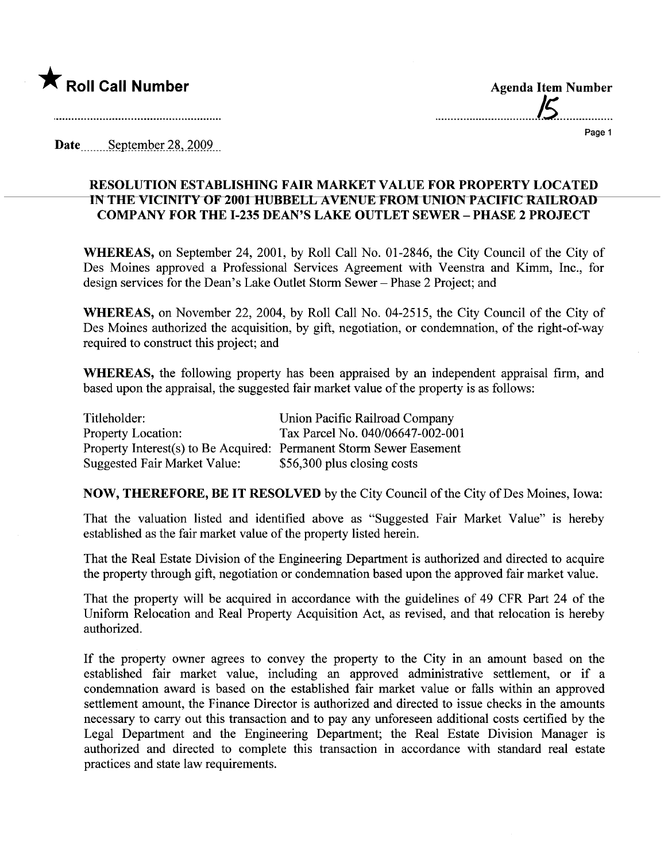

.................................15.................

Date September 28, 2009

## RESOLUTION ESTABLISHING FAIR MARKT VALUE FOR PROPERTY LOCATED IN THE VICINITY OF 2001 HUBBELL AVENUE FROM UNION PACIFIC RAILROAD COMPANY FOR THE 1-235 DEAN'S LAKE OUTLET SEWER - PHASE 2 PROJECT

WHEREAS, on September 24, 2001, by Roll Call No. 01-2846, the City Council of the City of Des Moines approved a Professional Services Agreement with Veenstra and Kimm, Inc., for design services for the Dean's Lake Outlet Storm Sewer - Phase 2 Project; and

WHEREAS, on November 22, 2004, by Roll Call No. 04-2515, the City Council of the City of Des Moines authorized the acquisition, by gift, negotiation, or condemnation, of the right-of-way required to construct this project; and

WHEREAS, the following property has been appraised by an independent appraisal firm, and based upon the appraisal, the suggested fair market value of the property is as follows:

| Titleholder:                                                        | Union Pacific Railroad Company   |
|---------------------------------------------------------------------|----------------------------------|
| <b>Property Location:</b>                                           | Tax Parcel No. 040/06647-002-001 |
| Property Interest(s) to Be Acquired: Permanent Storm Sewer Easement |                                  |
| <b>Suggested Fair Market Value:</b>                                 | \$56,300 plus closing costs      |

NOW, THEREFORE, BE IT RESOLVED by the City Council of the City of Des Moines, Iowa:

That the valuation listed and identified above as "Suggested Fair Market Value" is hereby established as the fair market value of the property listed herein.

That the Real Estate Division of the Engineering Deparment is authorized and directed to acquire the property through gift, negotiation or condemnation based upon the approved fair market value.

That the property will be acquired in accordance with the guidelines of 49 CFR Part 24 of the Uniform Relocation and Real Property Acquisition Act, as revised, and that relocation is hereby authorized.

If the property owner agrees to convey the property to the City in an amount based on the established fair market value, including an approved administrative settlement, or if a condemnation award is based on the established fair market value or falls within an approved settlement amount, the Finance Director is authorized and directed to issue checks in the amounts necessary to carry out this transaction and to pay any unforeseen additional costs certified by the Legal Department and the Engineering Department; the Real Estate Division Manager is authorized and directed to complete this transaction in accordance with standard real estate practices and state law requirements.

Page 1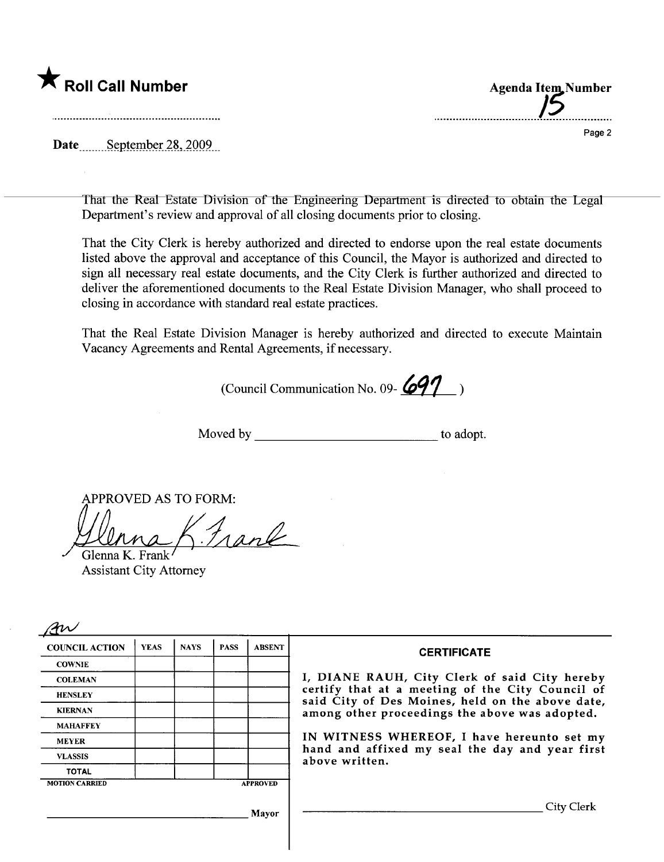

..................~:~~~.~7~:~=~~~

Page 2

**Agenda Item Number** 

Date September 28, 2009

the contract of the contract of the contract of the contract of the contract of

That the Real Estate Division of the Engineering Deparment is directed to obtain the Legal Department's review and approval of all closing documents prior to closing.

That the City Clerk is hereby authorized and directed to endorse upon the real estate documents listed above the approval and acceptance of this Council, the Mayor is authorized and directed to sign all necessary real estate documents, and the City Clerk is further authorized and directed to deliver the aforementioned documents to the Real Estate Division Manager, who shall proceed to closing in accordance with standard real estate practices.

That the Real Estate Division Manager is hereby authorized and directed to execute Maintain Vacancy Agreements and Rental Agreements, if necessary.

(Council Communication No. 09- $\cancel{691}$ )

Moved by to adopt.

APPROVED AS TO FORM:<br> $\sqrt{\sqrt{\lambda}}$ 

Assistant City Attorney

| <b>COUNCIL ACTION</b> | <b>YEAS</b> | <b>NAYS</b> | <b>PASS</b> | <b>ABSENT</b>                                  | <b>CERTIFICATE</b>                                                                                              |  |
|-----------------------|-------------|-------------|-------------|------------------------------------------------|-----------------------------------------------------------------------------------------------------------------|--|
| <b>COWNIE</b>         |             |             |             |                                                |                                                                                                                 |  |
| <b>COLEMAN</b>        |             |             |             |                                                | I, DIANE RAUH, City Clerk of said City hereby                                                                   |  |
| <b>HENSLEY</b>        |             |             |             |                                                | certify that at a meeting of the City Council of<br>said City of Des Moines, held on the above date,            |  |
| <b>KIERNAN</b>        |             |             |             | among other proceedings the above was adopted. |                                                                                                                 |  |
| <b>MAHAFFEY</b>       |             |             |             |                                                |                                                                                                                 |  |
| <b>MEYER</b>          |             |             |             |                                                | IN WITNESS WHEREOF, I have hereunto set my<br>hand and affixed my seal the day and year first<br>above written. |  |
| <b>VLASSIS</b>        |             |             |             |                                                |                                                                                                                 |  |
| <b>TOTAL</b>          |             |             |             |                                                |                                                                                                                 |  |
| <b>MOTION CARRIED</b> |             |             |             | <b>APPROVED</b>                                |                                                                                                                 |  |
|                       |             |             |             | Mayor                                          | City Clerk                                                                                                      |  |